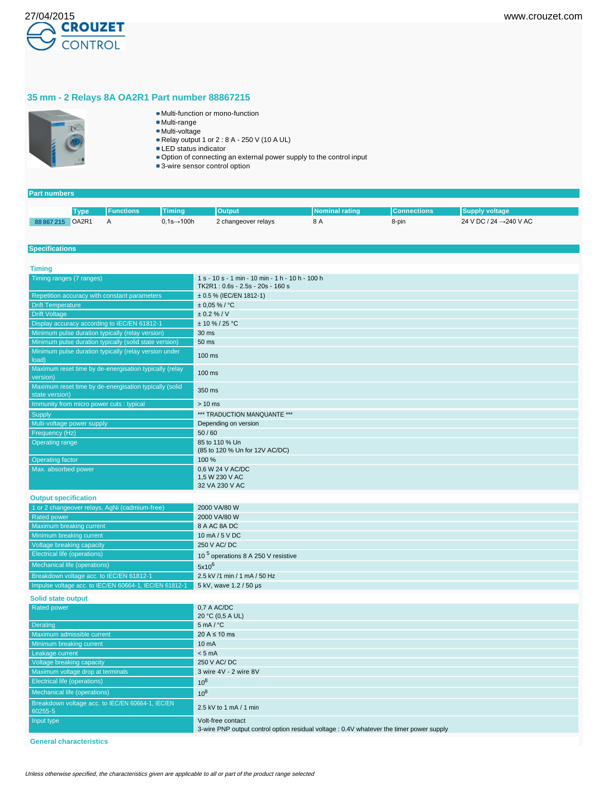

# **35 mm - 2 Relays 8A OA2R1 Part number 88867215**



- Multi-function or mono-function
- Multi-range
- Multi-voltage Relay output 1 or 2 : 8 A - 250 V (10 A UL)
- LED status indicator
- Option of connecting an external power supply to the control input
- 3-wire sensor control option

## **Part numbers**

|            | <b>Type</b>                    | Functions <b>\</b> | <b>Timing</b>          | Output              | INominal rating | <b>IConnections</b> | <b>Supply voltage</b>               |
|------------|--------------------------------|--------------------|------------------------|---------------------|-----------------|---------------------|-------------------------------------|
| 88 867 215 | OA <sub>2</sub> R <sub>1</sub> |                    | $0,1s\rightarrow 100h$ | 2 changeover relays | 8 A             | 8-pin               | 24 V DC / 24 $\rightarrow$ 240 V AC |

## **Specifications**

| <b>Timing</b>                                                            |                                                                                                               |
|--------------------------------------------------------------------------|---------------------------------------------------------------------------------------------------------------|
| Timing ranges (7 ranges)                                                 | 1 s - 10 s - 1 min - 10 min - 1 h - 10 h - 100 h<br>TK2R1: 0.6s - 2.5s - 20s - 160 s                          |
| Repetition accuracy with constant parameters                             | ± 0.5 % (IEC/EN 1812-1)                                                                                       |
| <b>Drift Temperature</b>                                                 | $± 0.05 \%$ / °C                                                                                              |
| <b>Drift Voltage</b>                                                     | ± 0.2 % / V                                                                                                   |
| Display accuracy according to IEC/EN 61812-1                             | $± 10 \% / 25 °C$                                                                                             |
| Minimum pulse duration typically (relay version)                         | 30 ms                                                                                                         |
| Minimum pulse duration typically (solid state version)                   | 50 ms                                                                                                         |
| Minimum pulse duration typically (relay version under<br>load)           | 100 ms                                                                                                        |
| Maximum reset time by de-energisation typically (relay<br>version)       | 100 ms                                                                                                        |
| Maximum reset time by de-energisation typically (solid<br>state version) | 350 ms                                                                                                        |
| Immunity from micro power cuts : typical                                 | $> 10$ ms                                                                                                     |
| Supply                                                                   | *** TRADUCTION MANQUANTE ***                                                                                  |
| Multi-voltage power supply                                               | Depending on version                                                                                          |
| Frequency (Hz)                                                           | 50/60                                                                                                         |
| <b>Operating range</b>                                                   | 85 to 110 % Un<br>(85 to 120 % Un for 12V AC/DC)                                                              |
| <b>Operating factor</b>                                                  | 100 %                                                                                                         |
| Max. absorbed power                                                      | 0.6 W 24 V AC/DC<br>1,5 W 230 V AC                                                                            |
|                                                                          | 32 VA 230 V AC                                                                                                |
| <b>Output specification</b>                                              |                                                                                                               |
| 1 or 2 changeover relays, AgNi (cadmium-free)                            | 2000 VA/80 W                                                                                                  |
| <b>Rated power</b>                                                       | 2000 VA/80 W                                                                                                  |
| Maximum breaking current                                                 | 8 A AC 8A DC                                                                                                  |
| Minimum breaking current                                                 | 10 mA / 5 V DC                                                                                                |
| Voltage breaking capacity                                                | 250 V AC/DC                                                                                                   |
| <b>Electrical life (operations)</b>                                      | 10 <sup>5</sup> operations 8 A 250 V resistive                                                                |
| Mechanical life (operations)                                             | $5x10^6$                                                                                                      |
| Breakdown voltage acc. to IEC/EN 61812-1                                 | 2.5 kV /1 min / 1 mA / 50 Hz                                                                                  |
| Impulse voltage acc. to IEC/EN 60664-1, IEC/EN 61812-1                   | 5 kV, wave 1.2 / 50 µs                                                                                        |
| Solid state output                                                       |                                                                                                               |
| Rated power                                                              | 0.7 A AC/DC                                                                                                   |
|                                                                          | 20 °C (0,5 A UL)                                                                                              |
| Derating                                                                 | $5 \text{ mA} / {}^{\circ}C$                                                                                  |
| Maximum admissible current                                               | $20 A \le 10 ms$                                                                                              |
| Minimum breaking current                                                 | $10 \text{ mA}$                                                                                               |
| Leakage current                                                          | < 5 mA                                                                                                        |
| Voltage breaking capacity                                                | 250 V AC/DC                                                                                                   |
| Maximum voltage drop at terminals                                        | 3 wire 4V - 2 wire 8V                                                                                         |
| <b>Electrical life (operations)</b>                                      | $10^8$                                                                                                        |
| Mechanical life (operations)                                             | $10^8$                                                                                                        |
| Breakdown voltage acc. to IEC/EN 60664-1, IEC/EN<br>60255-5              | 2.5 kV to 1 mA / 1 min                                                                                        |
| Input type                                                               | Volt-free contact<br>3-wire PNP output control option residual voltage : 0.4V whatever the timer power supply |

**General characteristics**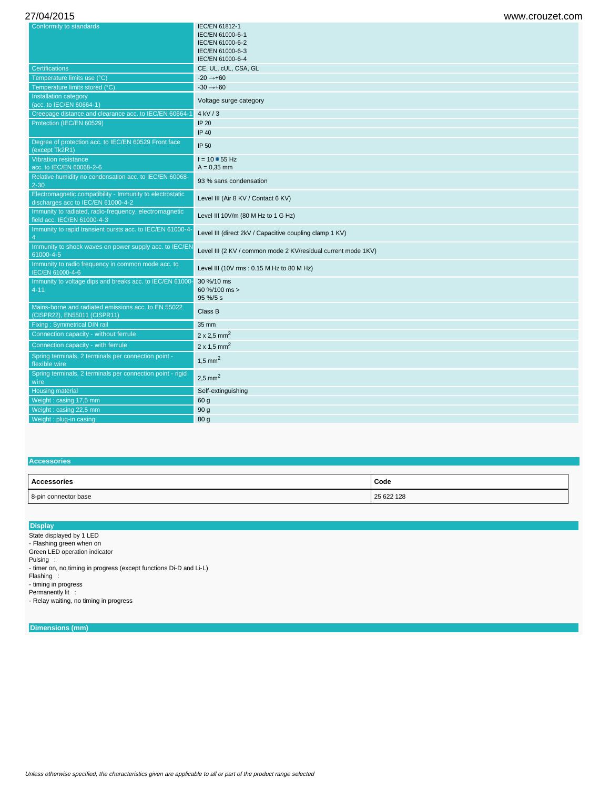| Conformity to standards                                                                         | IEC/EN 61812-1<br>IEC/EN 61000-6-1                            |
|-------------------------------------------------------------------------------------------------|---------------------------------------------------------------|
|                                                                                                 | IEC/EN 61000-6-2                                              |
|                                                                                                 | IEC/EN 61000-6-3                                              |
|                                                                                                 | IEC/EN 61000-6-4                                              |
| <b>Certifications</b>                                                                           | CE, UL, cUL, CSA, GL                                          |
| Temperature limits use (°C)                                                                     | $-20 \rightarrow +60$                                         |
| Temperature limits stored (°C)                                                                  | $-30 \rightarrow +60$                                         |
| Installation category<br>(acc. to IEC/EN 60664-1)                                               | Voltage surge category                                        |
| Creepage distance and clearance acc. to IEC/EN 60664-1                                          | $4$ kV $/3$                                                   |
| Protection (IEC/EN 60529)                                                                       | <b>IP 20</b>                                                  |
|                                                                                                 | IP 40                                                         |
| Degree of protection acc. to IEC/EN 60529 Front face<br>(except Tk2R1)                          | IP 50                                                         |
| <b>Vibration resistance</b>                                                                     | $f = 10 - 55$ Hz                                              |
| acc. to IEC/EN 60068-2-6                                                                        | $A = 0.35$ mm                                                 |
| Relative humidity no condensation acc. to IEC/EN 60068-<br>$2 - 30$                             | 93 % sans condensation                                        |
| Electromagnetic compatibility - Immunity to electrostatic<br>discharges acc to IEC/EN 61000-4-2 | Level III (Air 8 KV / Contact 6 KV)                           |
| Immunity to radiated, radio-frequency, electromagnetic<br>field acc. IEC/EN 61000-4-3           | Level III 10V/m (80 M Hz to 1 G Hz)                           |
| Immunity to rapid transient bursts acc. to IEC/EN 61000-4-<br>$\overline{4}$                    | Level III (direct 2kV / Capacitive coupling clamp 1 KV)       |
| Immunity to shock waves on power supply acc. to IEC/EN<br>61000-4-5                             | Level III (2 KV / common mode 2 KV/residual current mode 1KV) |
| Immunity to radio frequency in common mode acc. to<br>IEC/EN 61000-4-6                          | Level III (10V rms: 0.15 M Hz to 80 M Hz)                     |
| Immunity to voltage dips and breaks acc. to IEC/EN 61000-<br>$4 - 11$                           | 30 %/10 ms<br>60 %/100 ms ><br>95 %/5 s                       |
| Mains-borne and radiated emissions acc. to EN 55022<br>(CISPR22), EN55011 (CISPR11)             | Class B                                                       |
| <b>Fixing: Symmetrical DIN rail</b>                                                             | 35 mm                                                         |
| Connection capacity - without ferrule                                                           | $2 \times 2.5$ mm <sup>2</sup>                                |
| Connection capacity - with ferrule                                                              | $2 \times 1.5$ mm <sup>2</sup>                                |
| Spring terminals, 2 terminals per connection point -<br>flexible wire                           | $1,5$ mm <sup>2</sup>                                         |
| Spring terminals, 2 terminals per connection point - rigid<br>wire                              | $2.5$ mm <sup>2</sup>                                         |
| <b>Housing material</b>                                                                         | Self-extinguishing                                            |
| Weight: casing 17,5 mm                                                                          | 60 g                                                          |
| Weight: casing 22,5 mm                                                                          | 90 <sub>g</sub>                                               |
| Weight: plug-in casing                                                                          | 80 g                                                          |
|                                                                                                 |                                                               |

## **Accessories**

| Accessories          | Code       |
|----------------------|------------|
| 8-pin connector base | 25 622 128 |

## **Display**

State displayed by 1 LED - Flashing green when on Green LED operation indicator

Pulsing : - timer on, no timing in progress (except functions Di-D and Li-L)

Flashing :

- timing in progress

Permanently lit : - Relay waiting, no timing in progress

**Dimensions (mm)**